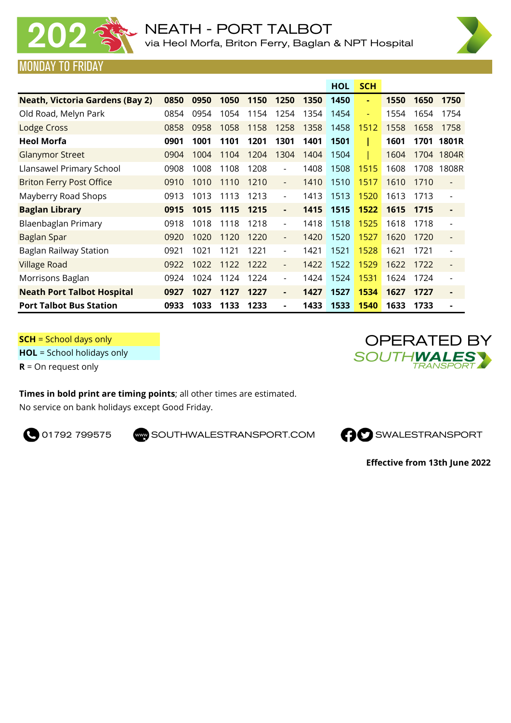



## MONDAY TO FRIDAY

|                                        |      |      |      |      |                          |      | <b>HOL</b> | <b>SCH</b> |      |      |                          |
|----------------------------------------|------|------|------|------|--------------------------|------|------------|------------|------|------|--------------------------|
| <b>Neath, Victoria Gardens (Bay 2)</b> | 0850 | 0950 | 1050 | 1150 | 1250                     | 1350 | 1450       | ٠          | 1550 | 1650 | 1750                     |
| Old Road, Melyn Park                   | 0854 | 0954 | 1054 | 1154 | 1254                     | 1354 | 1454       | ٠          | 1554 | 1654 | 1754                     |
| Lodge Cross                            | 0858 | 0958 | 1058 | 1158 | 1258                     | 1358 | 1458       | 1512       | 1558 | 1658 | 1758                     |
| <b>Heol Morfa</b>                      | 0901 | 1001 | 1101 | 1201 | 1301                     | 1401 | 1501       |            | 1601 | 1701 | <b>1801R</b>             |
| <b>Glanymor Street</b>                 | 0904 | 1004 | 1104 | 1204 | 1304                     | 1404 | 1504       |            | 1604 | 1704 | 1804R                    |
| Llansawel Primary School               | 0908 | 1008 | 1108 | 1208 | $\overline{\phantom{a}}$ | 1408 | 1508       | 1515       | 1608 | 1708 | 1808R                    |
| <b>Briton Ferry Post Office</b>        | 0910 | 1010 | 1110 | 1210 | $\overline{\phantom{a}}$ | 1410 | 1510       | 1517       | 1610 | 1710 | $\overline{\phantom{a}}$ |
| Mayberry Road Shops                    | 0913 | 1013 | 1113 | 1213 | $\overline{\phantom{a}}$ | 1413 | 1513       | 1520       | 1613 | 1713 | $\overline{\phantom{a}}$ |
| <b>Baglan Library</b>                  | 0915 | 1015 | 1115 | 1215 | ٠                        | 1415 | 1515       | 1522       | 1615 | 1715 | $\blacksquare$           |
| Blaenbaglan Primary                    | 0918 | 1018 | 1118 | 1218 | $\overline{\phantom{a}}$ | 1418 | 1518       | 1525       | 1618 | 1718 | $\overline{\phantom{a}}$ |
| Baglan Spar                            | 0920 | 1020 | 1120 | 1220 | $\overline{\phantom{a}}$ | 1420 | 1520       | 1527       | 1620 | 1720 | $\overline{\phantom{a}}$ |
| Baglan Railway Station                 | 0921 | 1021 | 1121 | 1221 | $\overline{\phantom{a}}$ | 1421 | 1521       | 1528       | 1621 | 1721 | $\overline{\phantom{0}}$ |
| <b>Village Road</b>                    | 0922 | 1022 | 1122 | 1222 | $\overline{\phantom{a}}$ | 1422 | 1522       | 1529       | 1622 | 1722 | $\overline{\phantom{a}}$ |
| Morrisons Baglan                       | 0924 | 1024 | 1124 | 1224 | $\overline{\phantom{a}}$ | 1424 | 1524       | 1531       | 1624 | 1724 | $\overline{\phantom{0}}$ |
| <b>Neath Port Talbot Hospital</b>      | 0927 | 1027 | 1127 | 1227 | ٠                        | 1427 | 1527       | 1534       | 1627 | 1727 | $\blacksquare$           |
| <b>Port Talbot Bus Station</b>         | 0933 | 1033 | 1133 | 1233 | ä,                       | 1433 | 1533       | 1540       | 1633 | 1733 |                          |

**SCH** = School days only

**HOL** = School holidays only

**R** = On request only

## **Times in bold print are timing points**; all other times are estimated.

No service on bank holidays except Good Friday.

**O** 01792 799575 SOUTHWALESTRANSPORT.COM **CO** SWALESTRANSPORT





**Effective from 13th June 2022**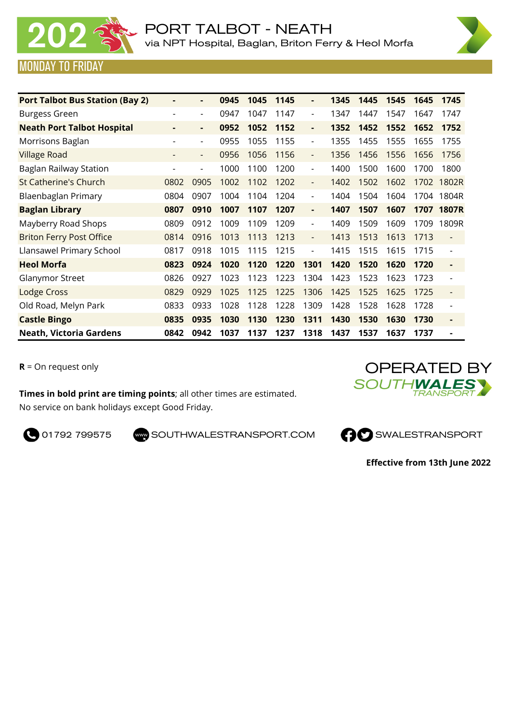



## MONDAY TO FRIDAY

| <b>Port Talbot Bus Station (Bay 2)</b> |      | $\blacksquare$           | 0945 | 1045 | 1145 |                              | 1345 | 1445 | 1545 | 1645 | 1745                     |
|----------------------------------------|------|--------------------------|------|------|------|------------------------------|------|------|------|------|--------------------------|
| <b>Burgess Green</b>                   |      | $\overline{\phantom{a}}$ | 0947 | 1047 | 1147 |                              | 1347 | 1447 | 1547 | 1647 | 1747                     |
| <b>Neath Port Talbot Hospital</b>      | ٠    | $\blacksquare$           | 0952 | 1052 | 1152 | ٠                            | 1352 | 1452 | 1552 | 1652 | 1752                     |
| Morrisons Baglan                       |      | $\overline{\phantom{a}}$ | 0955 | 1055 | 1155 | $\overline{\phantom{a}}$     | 1355 | 1455 | 1555 | 1655 | 1755                     |
| <b>Village Road</b>                    |      | $\overline{\phantom{a}}$ | 0956 | 1056 | 1156 | $\overline{\phantom{a}}$     | 1356 | 1456 | 1556 | 1656 | 1756                     |
| Baglan Railway Station                 |      | $\overline{\phantom{a}}$ | 1000 | 1100 | 1200 | $\overline{\phantom{a}}$     | 1400 | 1500 | 1600 | 1700 | 1800                     |
| <b>St Catherine's Church</b>           | 0802 | 0905                     | 1002 | 1102 | 1202 | $\qquad \qquad \blacksquare$ | 1402 | 1502 | 1602 | 1702 | 1802R                    |
| Blaenbaglan Primary                    | 0804 | 0907                     | 1004 | 1104 | 1204 | $\overline{\phantom{a}}$     | 1404 | 1504 | 1604 | 1704 | 1804R                    |
| <b>Baglan Library</b>                  | 0807 | 0910                     | 1007 | 1107 | 1207 | ٠                            | 1407 | 1507 | 1607 | 1707 | <b>1807R</b>             |
| Mayberry Road Shops                    | 0809 | 0912                     | 1009 | 1109 | 1209 | $\overline{\phantom{a}}$     | 1409 | 1509 | 1609 | 1709 | 1809R                    |
| <b>Briton Ferry Post Office</b>        | 0814 | 0916                     | 1013 | 1113 | 1213 | $\overline{\phantom{a}}$     | 1413 | 1513 | 1613 | 1713 | $\overline{\phantom{a}}$ |
| Llansawel Primary School               | 0817 | 0918                     | 1015 | 1115 | 1215 | $\overline{\phantom{0}}$     | 1415 | 1515 | 1615 | 1715 | $\overline{\phantom{a}}$ |
| <b>Heol Morfa</b>                      | 0823 | 0924                     | 1020 | 1120 | 1220 | 1301                         | 1420 | 1520 | 1620 | 1720 | $\blacksquare$           |
| Glanymor Street                        | 0826 | 0927                     | 1023 | 1123 | 1223 | 1304                         | 1423 | 1523 | 1623 | 1723 |                          |
| <b>Lodge Cross</b>                     | 0829 | 0929                     | 1025 | 1125 | 1225 | 1306                         | 1425 | 1525 | 1625 | 1725 | $\overline{\phantom{a}}$ |
| Old Road, Melyn Park                   | 0833 | 0933                     | 1028 | 1128 | 1228 | 1309                         | 1428 | 1528 | 1628 | 1728 | $\overline{\phantom{a}}$ |
| <b>Castle Bingo</b>                    | 0835 | 0935                     | 1030 | 1130 | 1230 | 1311                         | 1430 | 1530 | 1630 | 1730 | $\blacksquare$           |
| <b>Neath, Victoria Gardens</b>         | 0842 | 0942                     | 1037 | 1137 | 1237 | 1318                         | 1437 | 1537 | 1637 | 1737 |                          |

**R** = On request only

**Times in bold print are timing points**; all other times are estimated. No service on bank holidays except Good Friday.

OPERATED BY<br>OUTH**WALES** 



**Effective from 13th June 2022**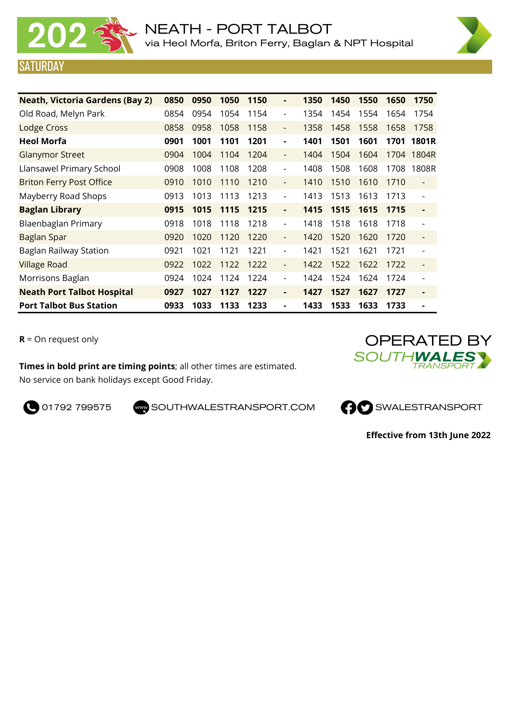

URDAY



| <b>Neath, Victoria Gardens (Bay 2)</b> | 0850 | 0950 | 1050 | 1150 | ۰                        | 1350 | 1450 | 1550 | 1650 | 1750                     |
|----------------------------------------|------|------|------|------|--------------------------|------|------|------|------|--------------------------|
| Old Road, Melyn Park                   | 0854 | 0954 | 1054 | 1154 | $\overline{\phantom{a}}$ | 1354 | 1454 | 1554 | 1654 | 1754                     |
| Lodge Cross                            | 0858 | 0958 | 1058 | 1158 | $\overline{\phantom{a}}$ | 1358 | 1458 | 1558 | 1658 | 1758                     |
| <b>Heol Morfa</b>                      | 0901 | 1001 | 1101 | 1201 | ٠                        | 1401 | 1501 | 1601 | 1701 | 1801R                    |
| <b>Glanymor Street</b>                 | 0904 | 1004 | 1104 | 1204 | $\overline{\phantom{a}}$ | 1404 | 1504 | 1604 | 1704 | 1804R                    |
| Llansawel Primary School               | 0908 | 1008 | 1108 | 1208 | $\overline{\phantom{a}}$ | 1408 | 1508 | 1608 | 1708 | 1808R                    |
| <b>Briton Ferry Post Office</b>        | 0910 | 1010 | 1110 | 1210 | $\overline{\phantom{a}}$ | 1410 | 1510 | 1610 | 1710 | $\overline{\phantom{a}}$ |
| Mayberry Road Shops                    | 0913 | 1013 | 1113 | 1213 | $\overline{\phantom{a}}$ | 1413 | 1513 | 1613 | 1713 |                          |
| <b>Baglan Library</b>                  | 0915 | 1015 | 1115 | 1215 | ٠                        | 1415 | 1515 | 1615 | 1715 | ٠                        |
| Blaenbaglan Primary                    | 0918 | 1018 | 1118 | 1218 | $\overline{\phantom{a}}$ | 1418 | 1518 | 1618 | 1718 |                          |
| Baglan Spar                            | 0920 | 1020 | 1120 | 1220 | $\overline{\phantom{a}}$ | 1420 | 1520 | 1620 | 1720 | $\overline{\phantom{a}}$ |
| Baglan Railway Station                 | 0921 | 1021 | 1121 | 1221 | $\overline{\phantom{a}}$ | 1421 | 1521 | 1621 | 1721 |                          |
| <b>Village Road</b>                    | 0922 | 1022 | 1122 | 1222 | $\overline{\phantom{a}}$ | 1422 | 1522 | 1622 | 1722 | $\overline{\phantom{a}}$ |
| Morrisons Baglan                       | 0924 | 1024 | 1124 | 1224 | $\overline{\phantom{a}}$ | 1424 | 1524 | 1624 | 1724 |                          |
| <b>Neath Port Talbot Hospital</b>      | 0927 | 1027 | 1127 | 1227 | ٠                        | 1427 | 1527 | 1627 | 1727 | $\blacksquare$           |
| <b>Port Talbot Bus Station</b>         | 0933 | 1033 | 1133 | 1233 |                          | 1433 | 1533 | 1633 | 1733 |                          |

**R** = On request only

**Times in bold print are timing points**; all other times are estimated. No service on bank holidays except Good Friday.





**Effective from 13th June 2022**